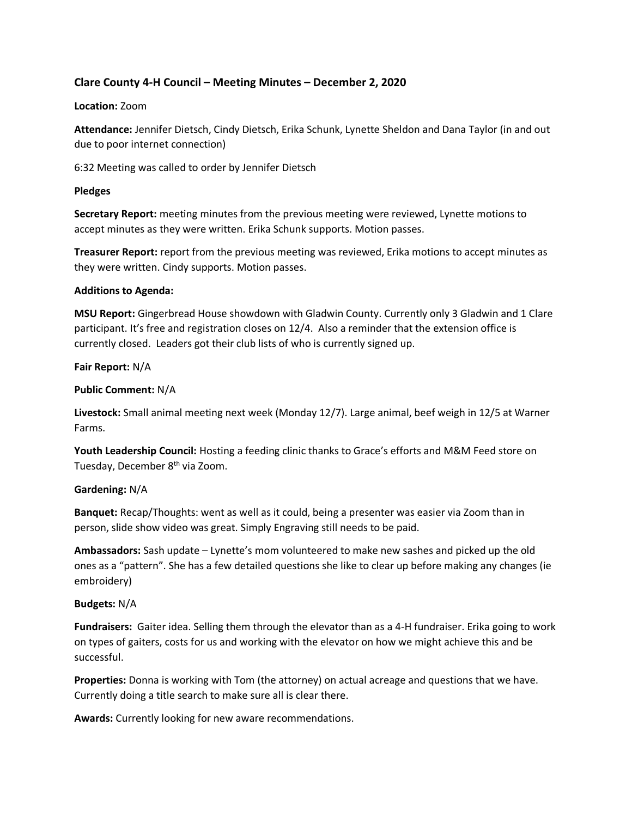# **Clare County 4-H Council – Meeting Minutes – December 2, 2020**

### **Location:** Zoom

**Attendance:** Jennifer Dietsch, Cindy Dietsch, Erika Schunk, Lynette Sheldon and Dana Taylor (in and out due to poor internet connection)

6:32 Meeting was called to order by Jennifer Dietsch

### **Pledges**

**Secretary Report:** meeting minutes from the previous meeting were reviewed, Lynette motions to accept minutes as they were written. Erika Schunk supports. Motion passes.

**Treasurer Report:** report from the previous meeting was reviewed, Erika motions to accept minutes as they were written. Cindy supports. Motion passes.

### **Additions to Agenda:**

**MSU Report:** Gingerbread House showdown with Gladwin County. Currently only 3 Gladwin and 1 Clare participant. It's free and registration closes on 12/4. Also a reminder that the extension office is currently closed. Leaders got their club lists of who is currently signed up.

### **Fair Report:** N/A

### **Public Comment:** N/A

**Livestock:** Small animal meeting next week (Monday 12/7). Large animal, beef weigh in 12/5 at Warner Farms.

**Youth Leadership Council:** Hosting a feeding clinic thanks to Grace's efforts and M&M Feed store on Tuesday, December 8<sup>th</sup> via Zoom.

## **Gardening:** N/A

**Banquet:** Recap/Thoughts: went as well as it could, being a presenter was easier via Zoom than in person, slide show video was great. Simply Engraving still needs to be paid.

**Ambassadors:** Sash update – Lynette's mom volunteered to make new sashes and picked up the old ones as a "pattern". She has a few detailed questions she like to clear up before making any changes (ie embroidery)

#### **Budgets:** N/A

**Fundraisers:** Gaiter idea. Selling them through the elevator than as a 4-H fundraiser. Erika going to work on types of gaiters, costs for us and working with the elevator on how we might achieve this and be successful.

**Properties:** Donna is working with Tom (the attorney) on actual acreage and questions that we have. Currently doing a title search to make sure all is clear there.

**Awards:** Currently looking for new aware recommendations.